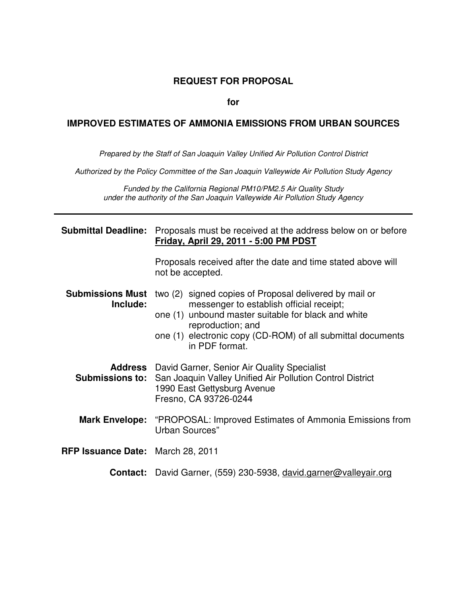#### **REQUEST FOR PROPOSAL**

#### **for**

#### **IMPROVED ESTIMATES OF AMMONIA EMISSIONS FROM URBAN SOURCES**

Prepared by the Staff of San Joaquin Valley Unified Air Pollution Control District

Authorized by the Policy Committee of the San Joaquin Valleywide Air Pollution Study Agency

Funded by the California Regional PM10/PM2.5 Air Quality Study under the authority of the San Joaquin Valleywide Air Pollution Study Agency

|                                          | <b>Submittal Deadline:</b> Proposals must be received at the address below on or before<br>Friday, April 29, 2011 - 5:00 PM PDST                                                                                                                                |  |
|------------------------------------------|-----------------------------------------------------------------------------------------------------------------------------------------------------------------------------------------------------------------------------------------------------------------|--|
|                                          | Proposals received after the date and time stated above will<br>not be accepted.                                                                                                                                                                                |  |
| <b>Submissions Must</b><br>Include:      | two (2) signed copies of Proposal delivered by mail or<br>messenger to establish official receipt;<br>one (1) unbound master suitable for black and white<br>reproduction; and<br>one (1) electronic copy (CD-ROM) of all submittal documents<br>in PDF format. |  |
|                                          | <b>Address</b> David Garner, Senior Air Quality Specialist<br><b>Submissions to:</b> San Joaquin Valley Unified Air Pollution Control District<br>1990 East Gettysburg Avenue<br>Fresno, CA 93726-0244                                                          |  |
|                                          | <b>Mark Envelope:</b> "PROPOSAL: Improved Estimates of Ammonia Emissions from<br>Urban Sources"                                                                                                                                                                 |  |
| <b>RFP Issuance Date: March 28, 2011</b> |                                                                                                                                                                                                                                                                 |  |
| <b>Contact:</b>                          | David Garner, (559) 230-5938, david.garner@valleyair.org                                                                                                                                                                                                        |  |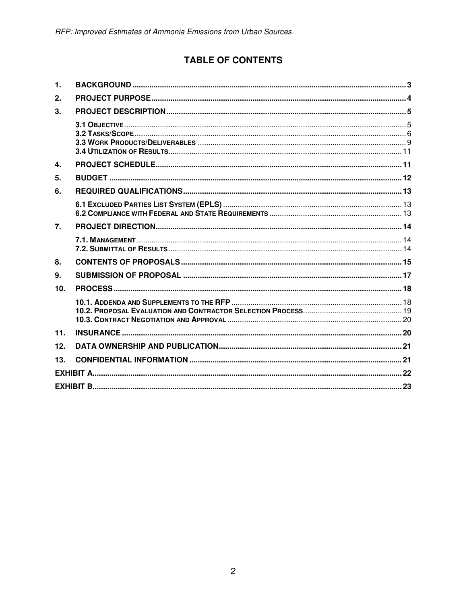# **TABLE OF CONTENTS**

| 1.               |  |
|------------------|--|
| 2.               |  |
| 3.               |  |
|                  |  |
| $\mathbf{4}$     |  |
| 5.               |  |
| 6.               |  |
|                  |  |
| $\overline{7}$ . |  |
|                  |  |
| 8.               |  |
| 9.               |  |
| 10.              |  |
|                  |  |
| 11.              |  |
| 12.              |  |
| 13.              |  |
|                  |  |
|                  |  |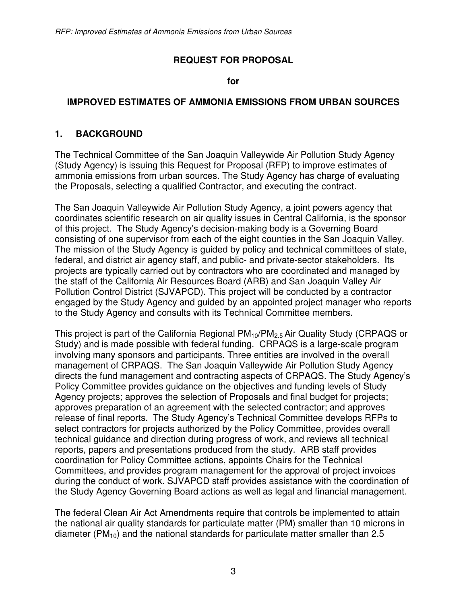#### **REQUEST FOR PROPOSAL**

**for** 

#### **IMPROVED ESTIMATES OF AMMONIA EMISSIONS FROM URBAN SOURCES**

#### **1. BACKGROUND**

The Technical Committee of the San Joaquin Valleywide Air Pollution Study Agency (Study Agency) is issuing this Request for Proposal (RFP) to improve estimates of ammonia emissions from urban sources. The Study Agency has charge of evaluating the Proposals, selecting a qualified Contractor, and executing the contract.

The San Joaquin Valleywide Air Pollution Study Agency, a joint powers agency that coordinates scientific research on air quality issues in Central California, is the sponsor of this project. The Study Agency's decision-making body is a Governing Board consisting of one supervisor from each of the eight counties in the San Joaquin Valley. The mission of the Study Agency is guided by policy and technical committees of state, federal, and district air agency staff, and public- and private-sector stakeholders. Its projects are typically carried out by contractors who are coordinated and managed by the staff of the California Air Resources Board (ARB) and San Joaquin Valley Air Pollution Control District (SJVAPCD). This project will be conducted by a contractor engaged by the Study Agency and guided by an appointed project manager who reports to the Study Agency and consults with its Technical Committee members.

This project is part of the California Regional  $PM_{10}/PM_{2.5}$  Air Quality Study (CRPAQS or Study) and is made possible with federal funding. CRPAQS is a large-scale program involving many sponsors and participants. Three entities are involved in the overall management of CRPAQS. The San Joaquin Valleywide Air Pollution Study Agency directs the fund management and contracting aspects of CRPAQS. The Study Agency's Policy Committee provides guidance on the objectives and funding levels of Study Agency projects; approves the selection of Proposals and final budget for projects; approves preparation of an agreement with the selected contractor; and approves release of final reports. The Study Agency's Technical Committee develops RFPs to select contractors for projects authorized by the Policy Committee, provides overall technical guidance and direction during progress of work, and reviews all technical reports, papers and presentations produced from the study. ARB staff provides coordination for Policy Committee actions, appoints Chairs for the Technical Committees, and provides program management for the approval of project invoices during the conduct of work. SJVAPCD staff provides assistance with the coordination of the Study Agency Governing Board actions as well as legal and financial management.

The federal Clean Air Act Amendments require that controls be implemented to attain the national air quality standards for particulate matter (PM) smaller than 10 microns in diameter (PM<sub>10</sub>) and the national standards for particulate matter smaller than 2.5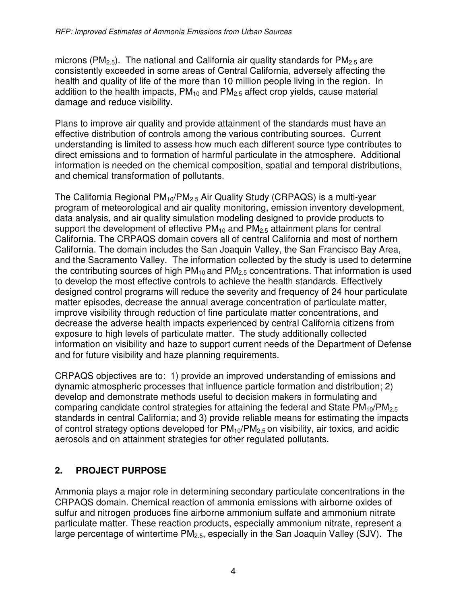microns (PM<sub>2.5</sub>). The national and California air quality standards for PM<sub>2.5</sub> are consistently exceeded in some areas of Central California, adversely affecting the health and quality of life of the more than 10 million people living in the region. In addition to the health impacts,  $PM_{10}$  and  $PM_{2.5}$  affect crop yields, cause material damage and reduce visibility.

Plans to improve air quality and provide attainment of the standards must have an effective distribution of controls among the various contributing sources. Current understanding is limited to assess how much each different source type contributes to direct emissions and to formation of harmful particulate in the atmosphere. Additional information is needed on the chemical composition, spatial and temporal distributions, and chemical transformation of pollutants.

The California Regional  $PM_{10}/PM_{2.5}$  Air Quality Study (CRPAQS) is a multi-year program of meteorological and air quality monitoring, emission inventory development, data analysis, and air quality simulation modeling designed to provide products to support the development of effective  $PM_{10}$  and  $PM_{2.5}$  attainment plans for central California. The CRPAQS domain covers all of central California and most of northern California. The domain includes the San Joaquin Valley, the San Francisco Bay Area, and the Sacramento Valley. The information collected by the study is used to determine the contributing sources of high  $PM_{10}$  and  $PM_{2.5}$  concentrations. That information is used to develop the most effective controls to achieve the health standards. Effectively designed control programs will reduce the severity and frequency of 24 hour particulate matter episodes, decrease the annual average concentration of particulate matter, improve visibility through reduction of fine particulate matter concentrations, and decrease the adverse health impacts experienced by central California citizens from exposure to high levels of particulate matter. The study additionally collected information on visibility and haze to support current needs of the Department of Defense and for future visibility and haze planning requirements.

CRPAQS objectives are to: 1) provide an improved understanding of emissions and dynamic atmospheric processes that influence particle formation and distribution; 2) develop and demonstrate methods useful to decision makers in formulating and comparing candidate control strategies for attaining the federal and State  $PM_{10}/PM_{2.5}$ standards in central California; and 3) provide reliable means for estimating the impacts of control strategy options developed for  $PM_{10}/PM_{2.5}$  on visibility, air toxics, and acidic aerosols and on attainment strategies for other regulated pollutants.

# **2. PROJECT PURPOSE**

Ammonia plays a major role in determining secondary particulate concentrations in the CRPAQS domain. Chemical reaction of ammonia emissions with airborne oxides of sulfur and nitrogen produces fine airborne ammonium sulfate and ammonium nitrate particulate matter. These reaction products, especially ammonium nitrate, represent a large percentage of wintertime PM<sub>2.5</sub>, especially in the San Joaquin Valley (SJV). The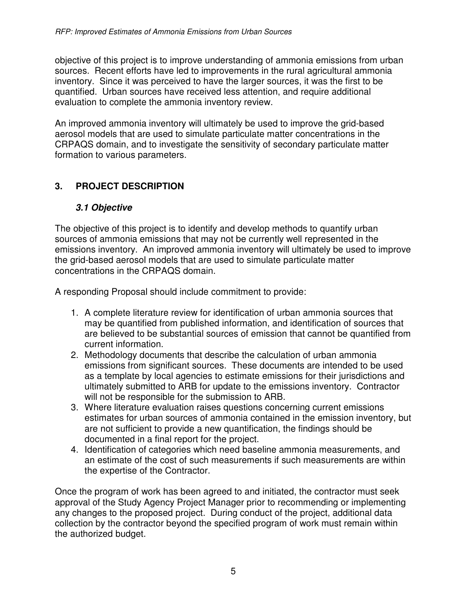objective of this project is to improve understanding of ammonia emissions from urban sources. Recent efforts have led to improvements in the rural agricultural ammonia inventory. Since it was perceived to have the larger sources, it was the first to be quantified. Urban sources have received less attention, and require additional evaluation to complete the ammonia inventory review.

An improved ammonia inventory will ultimately be used to improve the grid-based aerosol models that are used to simulate particulate matter concentrations in the CRPAQS domain, and to investigate the sensitivity of secondary particulate matter formation to various parameters.

# **3. PROJECT DESCRIPTION**

#### **3.1 Objective**

The objective of this project is to identify and develop methods to quantify urban sources of ammonia emissions that may not be currently well represented in the emissions inventory. An improved ammonia inventory will ultimately be used to improve the grid-based aerosol models that are used to simulate particulate matter concentrations in the CRPAQS domain.

A responding Proposal should include commitment to provide:

- 1. A complete literature review for identification of urban ammonia sources that may be quantified from published information, and identification of sources that are believed to be substantial sources of emission that cannot be quantified from current information.
- 2. Methodology documents that describe the calculation of urban ammonia emissions from significant sources. These documents are intended to be used as a template by local agencies to estimate emissions for their jurisdictions and ultimately submitted to ARB for update to the emissions inventory. Contractor will not be responsible for the submission to ARB.
- 3. Where literature evaluation raises questions concerning current emissions estimates for urban sources of ammonia contained in the emission inventory, but are not sufficient to provide a new quantification, the findings should be documented in a final report for the project.
- 4. Identification of categories which need baseline ammonia measurements, and an estimate of the cost of such measurements if such measurements are within the expertise of the Contractor.

Once the program of work has been agreed to and initiated, the contractor must seek approval of the Study Agency Project Manager prior to recommending or implementing any changes to the proposed project. During conduct of the project, additional data collection by the contractor beyond the specified program of work must remain within the authorized budget.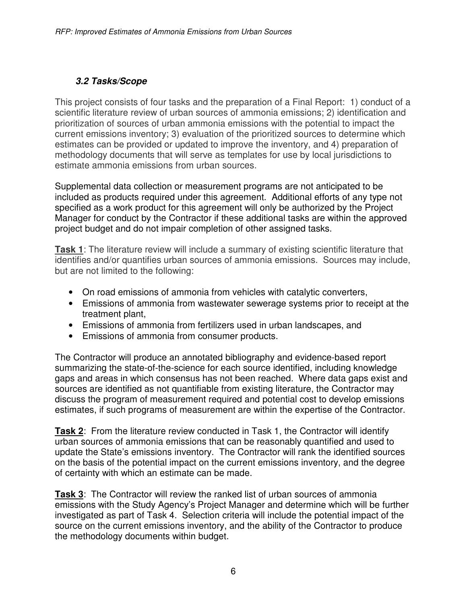# **3.2 Tasks/Scope**

This project consists of four tasks and the preparation of a Final Report: 1) conduct of a scientific literature review of urban sources of ammonia emissions; 2) identification and prioritization of sources of urban ammonia emissions with the potential to impact the current emissions inventory; 3) evaluation of the prioritized sources to determine which estimates can be provided or updated to improve the inventory, and 4) preparation of methodology documents that will serve as templates for use by local jurisdictions to estimate ammonia emissions from urban sources.

Supplemental data collection or measurement programs are not anticipated to be included as products required under this agreement. Additional efforts of any type not specified as a work product for this agreement will only be authorized by the Project Manager for conduct by the Contractor if these additional tasks are within the approved project budget and do not impair completion of other assigned tasks.

**Task 1**: The literature review will include a summary of existing scientific literature that identifies and/or quantifies urban sources of ammonia emissions. Sources may include, but are not limited to the following:

- On road emissions of ammonia from vehicles with catalytic converters,
- Emissions of ammonia from wastewater sewerage systems prior to receipt at the treatment plant,
- Emissions of ammonia from fertilizers used in urban landscapes, and
- Emissions of ammonia from consumer products.

The Contractor will produce an annotated bibliography and evidence-based report summarizing the state-of-the-science for each source identified, including knowledge gaps and areas in which consensus has not been reached. Where data gaps exist and sources are identified as not quantifiable from existing literature, the Contractor may discuss the program of measurement required and potential cost to develop emissions estimates, if such programs of measurement are within the expertise of the Contractor.

**Task 2**: From the literature review conducted in Task 1, the Contractor will identify urban sources of ammonia emissions that can be reasonably quantified and used to update the State's emissions inventory. The Contractor will rank the identified sources on the basis of the potential impact on the current emissions inventory, and the degree of certainty with which an estimate can be made.

**Task 3**: The Contractor will review the ranked list of urban sources of ammonia emissions with the Study Agency's Project Manager and determine which will be further investigated as part of Task 4. Selection criteria will include the potential impact of the source on the current emissions inventory, and the ability of the Contractor to produce the methodology documents within budget.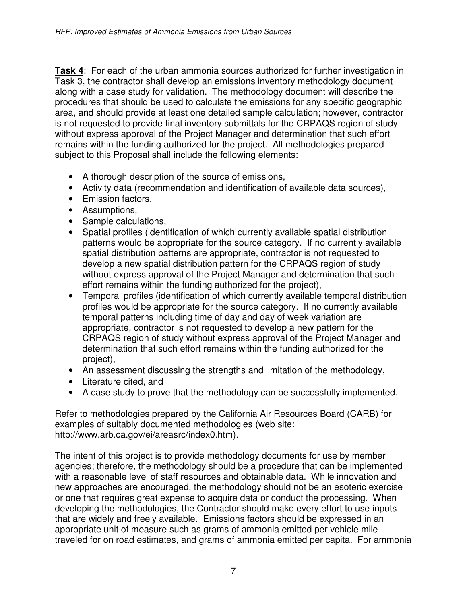**Task 4**: For each of the urban ammonia sources authorized for further investigation in Task 3, the contractor shall develop an emissions inventory methodology document along with a case study for validation. The methodology document will describe the procedures that should be used to calculate the emissions for any specific geographic area, and should provide at least one detailed sample calculation; however, contractor is not requested to provide final inventory submittals for the CRPAQS region of study without express approval of the Project Manager and determination that such effort remains within the funding authorized for the project. All methodologies prepared subject to this Proposal shall include the following elements:

- A thorough description of the source of emissions,
- Activity data (recommendation and identification of available data sources),
- Emission factors,
- Assumptions,
- Sample calculations,
- Spatial profiles (identification of which currently available spatial distribution patterns would be appropriate for the source category. If no currently available spatial distribution patterns are appropriate, contractor is not requested to develop a new spatial distribution pattern for the CRPAQS region of study without express approval of the Project Manager and determination that such effort remains within the funding authorized for the project),
- Temporal profiles (identification of which currently available temporal distribution profiles would be appropriate for the source category. If no currently available temporal patterns including time of day and day of week variation are appropriate, contractor is not requested to develop a new pattern for the CRPAQS region of study without express approval of the Project Manager and determination that such effort remains within the funding authorized for the project),
- An assessment discussing the strengths and limitation of the methodology,
- Literature cited, and
- A case study to prove that the methodology can be successfully implemented.

Refer to methodologies prepared by the California Air Resources Board (CARB) for examples of suitably documented methodologies (web site: http://www.arb.ca.gov/ei/areasrc/index0.htm).

The intent of this project is to provide methodology documents for use by member agencies; therefore, the methodology should be a procedure that can be implemented with a reasonable level of staff resources and obtainable data. While innovation and new approaches are encouraged, the methodology should not be an esoteric exercise or one that requires great expense to acquire data or conduct the processing. When developing the methodologies, the Contractor should make every effort to use inputs that are widely and freely available. Emissions factors should be expressed in an appropriate unit of measure such as grams of ammonia emitted per vehicle mile traveled for on road estimates, and grams of ammonia emitted per capita. For ammonia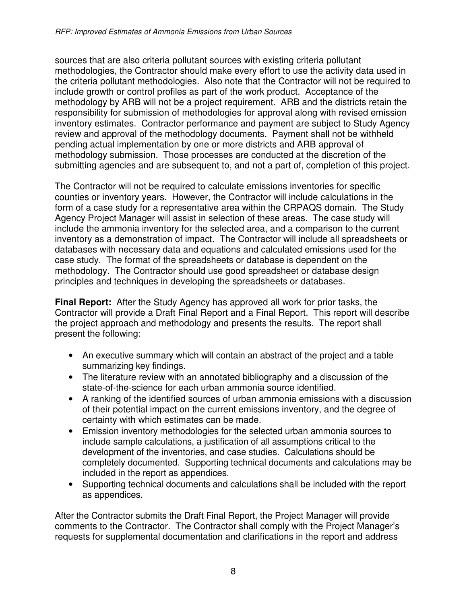sources that are also criteria pollutant sources with existing criteria pollutant methodologies, the Contractor should make every effort to use the activity data used in the criteria pollutant methodologies. Also note that the Contractor will not be required to include growth or control profiles as part of the work product. Acceptance of the methodology by ARB will not be a project requirement. ARB and the districts retain the responsibility for submission of methodologies for approval along with revised emission inventory estimates. Contractor performance and payment are subject to Study Agency review and approval of the methodology documents. Payment shall not be withheld pending actual implementation by one or more districts and ARB approval of methodology submission. Those processes are conducted at the discretion of the submitting agencies and are subsequent to, and not a part of, completion of this project.

The Contractor will not be required to calculate emissions inventories for specific counties or inventory years. However, the Contractor will include calculations in the form of a case study for a representative area within the CRPAQS domain. The Study Agency Project Manager will assist in selection of these areas. The case study will include the ammonia inventory for the selected area, and a comparison to the current inventory as a demonstration of impact. The Contractor will include all spreadsheets or databases with necessary data and equations and calculated emissions used for the case study. The format of the spreadsheets or database is dependent on the methodology. The Contractor should use good spreadsheet or database design principles and techniques in developing the spreadsheets or databases.

**Final Report:** After the Study Agency has approved all work for prior tasks, the Contractor will provide a Draft Final Report and a Final Report. This report will describe the project approach and methodology and presents the results. The report shall present the following:

- An executive summary which will contain an abstract of the project and a table summarizing key findings.
- The literature review with an annotated bibliography and a discussion of the state-of-the-science for each urban ammonia source identified.
- A ranking of the identified sources of urban ammonia emissions with a discussion of their potential impact on the current emissions inventory, and the degree of certainty with which estimates can be made.
- Emission inventory methodologies for the selected urban ammonia sources to include sample calculations, a justification of all assumptions critical to the development of the inventories, and case studies. Calculations should be completely documented. Supporting technical documents and calculations may be included in the report as appendices.
- Supporting technical documents and calculations shall be included with the report as appendices.

After the Contractor submits the Draft Final Report, the Project Manager will provide comments to the Contractor. The Contractor shall comply with the Project Manager's requests for supplemental documentation and clarifications in the report and address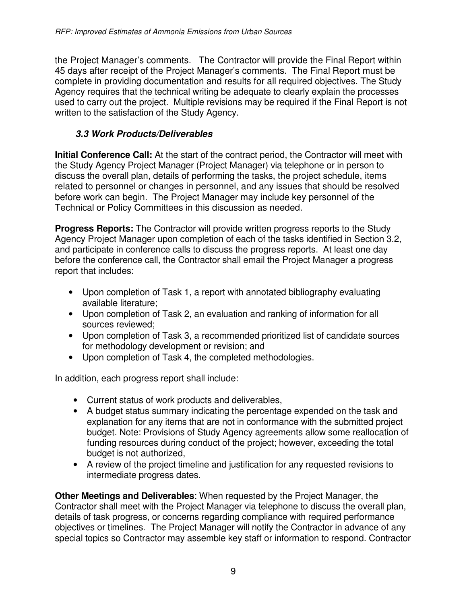the Project Manager's comments. The Contractor will provide the Final Report within 45 days after receipt of the Project Manager's comments. The Final Report must be complete in providing documentation and results for all required objectives. The Study Agency requires that the technical writing be adequate to clearly explain the processes used to carry out the project. Multiple revisions may be required if the Final Report is not written to the satisfaction of the Study Agency.

### **3.3 Work Products/Deliverables**

**Initial Conference Call:** At the start of the contract period, the Contractor will meet with the Study Agency Project Manager (Project Manager) via telephone or in person to discuss the overall plan, details of performing the tasks, the project schedule, items related to personnel or changes in personnel, and any issues that should be resolved before work can begin. The Project Manager may include key personnel of the Technical or Policy Committees in this discussion as needed.

**Progress Reports:** The Contractor will provide written progress reports to the Study Agency Project Manager upon completion of each of the tasks identified in Section 3.2, and participate in conference calls to discuss the progress reports. At least one day before the conference call, the Contractor shall email the Project Manager a progress report that includes:

- Upon completion of Task 1, a report with annotated bibliography evaluating available literature;
- Upon completion of Task 2, an evaluation and ranking of information for all sources reviewed;
- Upon completion of Task 3, a recommended prioritized list of candidate sources for methodology development or revision; and
- Upon completion of Task 4, the completed methodologies.

In addition, each progress report shall include:

- Current status of work products and deliverables,
- A budget status summary indicating the percentage expended on the task and explanation for any items that are not in conformance with the submitted project budget. Note: Provisions of Study Agency agreements allow some reallocation of funding resources during conduct of the project; however, exceeding the total budget is not authorized,
- A review of the project timeline and justification for any requested revisions to intermediate progress dates.

**Other Meetings and Deliverables**: When requested by the Project Manager, the Contractor shall meet with the Project Manager via telephone to discuss the overall plan, details of task progress, or concerns regarding compliance with required performance objectives or timelines. The Project Manager will notify the Contractor in advance of any special topics so Contractor may assemble key staff or information to respond. Contractor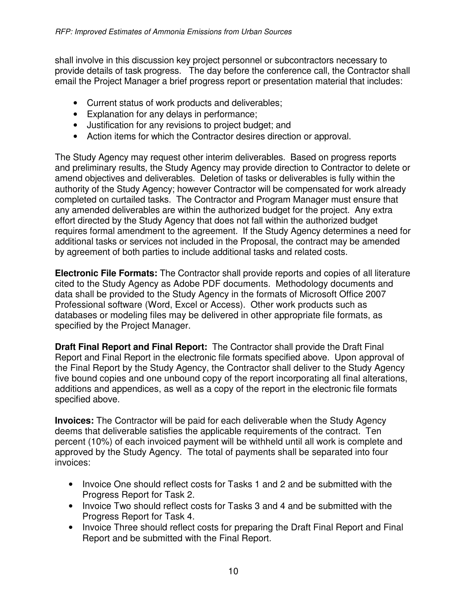shall involve in this discussion key project personnel or subcontractors necessary to provide details of task progress. The day before the conference call, the Contractor shall email the Project Manager a brief progress report or presentation material that includes:

- Current status of work products and deliverables;
- Explanation for any delays in performance;
- Justification for any revisions to project budget; and
- Action items for which the Contractor desires direction or approval.

The Study Agency may request other interim deliverables. Based on progress reports and preliminary results, the Study Agency may provide direction to Contractor to delete or amend objectives and deliverables. Deletion of tasks or deliverables is fully within the authority of the Study Agency; however Contractor will be compensated for work already completed on curtailed tasks. The Contractor and Program Manager must ensure that any amended deliverables are within the authorized budget for the project. Any extra effort directed by the Study Agency that does not fall within the authorized budget requires formal amendment to the agreement. If the Study Agency determines a need for additional tasks or services not included in the Proposal, the contract may be amended by agreement of both parties to include additional tasks and related costs.

**Electronic File Formats:** The Contractor shall provide reports and copies of all literature cited to the Study Agency as Adobe PDF documents. Methodology documents and data shall be provided to the Study Agency in the formats of Microsoft Office 2007 Professional software (Word, Excel or Access). Other work products such as databases or modeling files may be delivered in other appropriate file formats, as specified by the Project Manager.

**Draft Final Report and Final Report:** The Contractor shall provide the Draft Final Report and Final Report in the electronic file formats specified above. Upon approval of the Final Report by the Study Agency, the Contractor shall deliver to the Study Agency five bound copies and one unbound copy of the report incorporating all final alterations, additions and appendices, as well as a copy of the report in the electronic file formats specified above.

**Invoices:** The Contractor will be paid for each deliverable when the Study Agency deems that deliverable satisfies the applicable requirements of the contract. Ten percent (10%) of each invoiced payment will be withheld until all work is complete and approved by the Study Agency. The total of payments shall be separated into four invoices:

- Invoice One should reflect costs for Tasks 1 and 2 and be submitted with the Progress Report for Task 2.
- Invoice Two should reflect costs for Tasks 3 and 4 and be submitted with the Progress Report for Task 4.
- Invoice Three should reflect costs for preparing the Draft Final Report and Final Report and be submitted with the Final Report.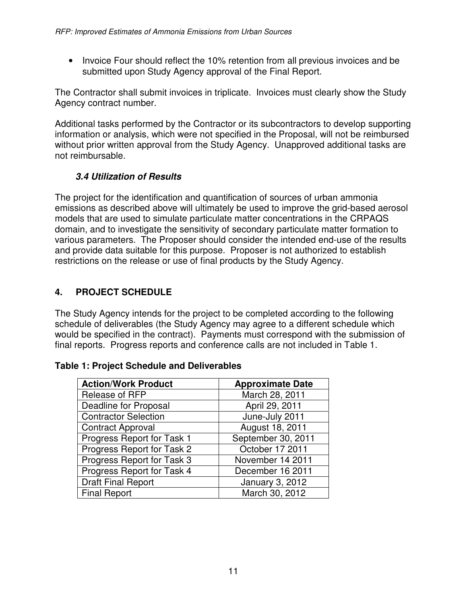• Invoice Four should reflect the 10% retention from all previous invoices and be submitted upon Study Agency approval of the Final Report.

The Contractor shall submit invoices in triplicate. Invoices must clearly show the Study Agency contract number.

Additional tasks performed by the Contractor or its subcontractors to develop supporting information or analysis, which were not specified in the Proposal, will not be reimbursed without prior written approval from the Study Agency. Unapproved additional tasks are not reimbursable.

## **3.4 Utilization of Results**

The project for the identification and quantification of sources of urban ammonia emissions as described above will ultimately be used to improve the grid-based aerosol models that are used to simulate particulate matter concentrations in the CRPAQS domain, and to investigate the sensitivity of secondary particulate matter formation to various parameters. The Proposer should consider the intended end-use of the results and provide data suitable for this purpose. Proposer is not authorized to establish restrictions on the release or use of final products by the Study Agency.

# **4. PROJECT SCHEDULE**

The Study Agency intends for the project to be completed according to the following schedule of deliverables (the Study Agency may agree to a different schedule which would be specified in the contract). Payments must correspond with the submission of final reports. Progress reports and conference calls are not included in Table 1.

#### **Table 1: Project Schedule and Deliverables**

| <b>Action/Work Product</b>   | <b>Approximate Date</b> |  |
|------------------------------|-------------------------|--|
| Release of RFP               | March 28, 2011          |  |
| <b>Deadline for Proposal</b> | April 29, 2011          |  |
| <b>Contractor Selection</b>  | June-July 2011          |  |
| <b>Contract Approval</b>     | August 18, 2011         |  |
| Progress Report for Task 1   | September 30, 2011      |  |
| Progress Report for Task 2   | October 17 2011         |  |
| Progress Report for Task 3   | November 14 2011        |  |
| Progress Report for Task 4   | December 16 2011        |  |
| <b>Draft Final Report</b>    | January 3, 2012         |  |
| <b>Final Report</b>          | March 30, 2012          |  |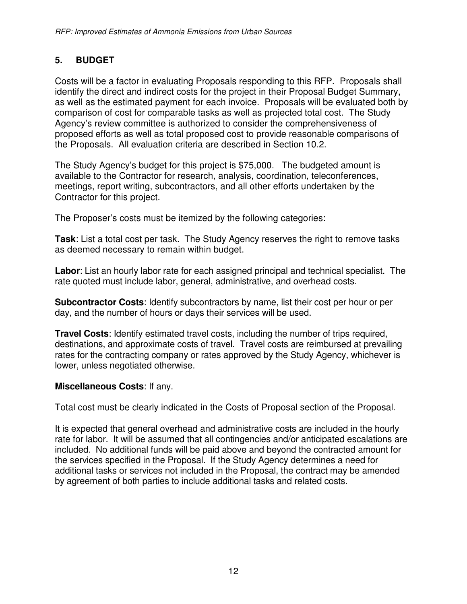## **5. BUDGET**

Costs will be a factor in evaluating Proposals responding to this RFP. Proposals shall identify the direct and indirect costs for the project in their Proposal Budget Summary, as well as the estimated payment for each invoice. Proposals will be evaluated both by comparison of cost for comparable tasks as well as projected total cost. The Study Agency's review committee is authorized to consider the comprehensiveness of proposed efforts as well as total proposed cost to provide reasonable comparisons of the Proposals. All evaluation criteria are described in Section 10.2.

The Study Agency's budget for this project is \$75,000. The budgeted amount is available to the Contractor for research, analysis, coordination, teleconferences, meetings, report writing, subcontractors, and all other efforts undertaken by the Contractor for this project.

The Proposer's costs must be itemized by the following categories:

**Task**: List a total cost per task. The Study Agency reserves the right to remove tasks as deemed necessary to remain within budget.

**Labor**: List an hourly labor rate for each assigned principal and technical specialist. The rate quoted must include labor, general, administrative, and overhead costs.

**Subcontractor Costs**: Identify subcontractors by name, list their cost per hour or per day, and the number of hours or days their services will be used.

**Travel Costs**: Identify estimated travel costs, including the number of trips required, destinations, and approximate costs of travel. Travel costs are reimbursed at prevailing rates for the contracting company or rates approved by the Study Agency, whichever is lower, unless negotiated otherwise.

#### **Miscellaneous Costs**: If any.

Total cost must be clearly indicated in the Costs of Proposal section of the Proposal.

It is expected that general overhead and administrative costs are included in the hourly rate for labor. It will be assumed that all contingencies and/or anticipated escalations are included. No additional funds will be paid above and beyond the contracted amount for the services specified in the Proposal. If the Study Agency determines a need for additional tasks or services not included in the Proposal, the contract may be amended by agreement of both parties to include additional tasks and related costs.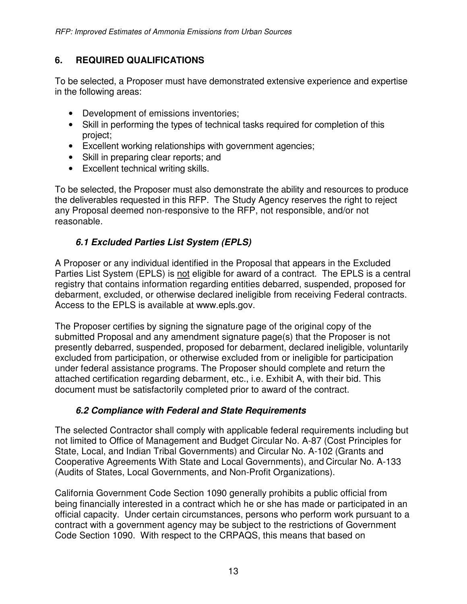### **6. REQUIRED QUALIFICATIONS**

To be selected, a Proposer must have demonstrated extensive experience and expertise in the following areas:

- Development of emissions inventories;
- Skill in performing the types of technical tasks required for completion of this project;
- Excellent working relationships with government agencies;
- Skill in preparing clear reports; and
- Excellent technical writing skills.

To be selected, the Proposer must also demonstrate the ability and resources to produce the deliverables requested in this RFP. The Study Agency reserves the right to reject any Proposal deemed non-responsive to the RFP, not responsible, and/or not reasonable.

## **6.1 Excluded Parties List System (EPLS)**

A Proposer or any individual identified in the Proposal that appears in the Excluded Parties List System (EPLS) is not eligible for award of a contract. The EPLS is a central registry that contains information regarding entities debarred, suspended, proposed for debarment, excluded, or otherwise declared ineligible from receiving Federal contracts. Access to the EPLS is available at www.epls.gov.

The Proposer certifies by signing the signature page of the original copy of the submitted Proposal and any amendment signature page(s) that the Proposer is not presently debarred, suspended, proposed for debarment, declared ineligible, voluntarily excluded from participation, or otherwise excluded from or ineligible for participation under federal assistance programs. The Proposer should complete and return the attached certification regarding debarment, etc., i.e. Exhibit A, with their bid. This document must be satisfactorily completed prior to award of the contract.

#### **6.2 Compliance with Federal and State Requirements**

The selected Contractor shall comply with applicable federal requirements including but not limited to Office of Management and Budget Circular No. A-87 (Cost Principles for State, Local, and Indian Tribal Governments) and Circular No. A-102 (Grants and Cooperative Agreements With State and Local Governments), and Circular No. A-133 (Audits of States, Local Governments, and Non-Profit Organizations).

California Government Code Section 1090 generally prohibits a public official from being financially interested in a contract which he or she has made or participated in an official capacity. Under certain circumstances, persons who perform work pursuant to a contract with a government agency may be subject to the restrictions of Government Code Section 1090. With respect to the CRPAQS, this means that based on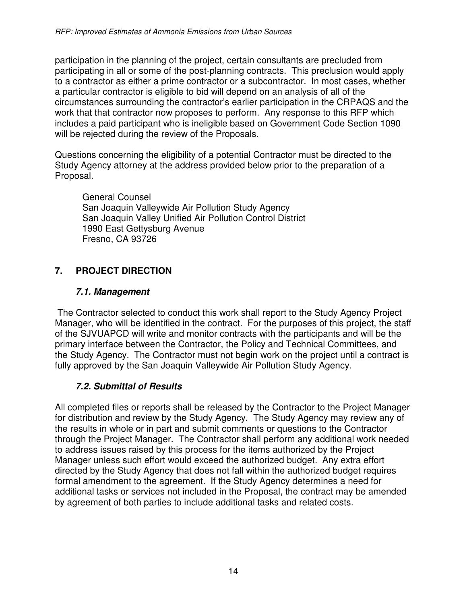participation in the planning of the project, certain consultants are precluded from participating in all or some of the post-planning contracts. This preclusion would apply to a contractor as either a prime contractor or a subcontractor. In most cases, whether a particular contractor is eligible to bid will depend on an analysis of all of the circumstances surrounding the contractor's earlier participation in the CRPAQS and the work that that contractor now proposes to perform. Any response to this RFP which includes a paid participant who is ineligible based on Government Code Section 1090 will be rejected during the review of the Proposals.

Questions concerning the eligibility of a potential Contractor must be directed to the Study Agency attorney at the address provided below prior to the preparation of a Proposal.

General Counsel San Joaquin Valleywide Air Pollution Study Agency San Joaquin Valley Unified Air Pollution Control District 1990 East Gettysburg Avenue Fresno, CA 93726

## **7. PROJECT DIRECTION**

#### **7.1. Management**

 The Contractor selected to conduct this work shall report to the Study Agency Project Manager, who will be identified in the contract. For the purposes of this project, the staff of the SJVUAPCD will write and monitor contracts with the participants and will be the primary interface between the Contractor, the Policy and Technical Committees, and the Study Agency. The Contractor must not begin work on the project until a contract is fully approved by the San Joaquin Valleywide Air Pollution Study Agency.

#### **7.2. Submittal of Results**

All completed files or reports shall be released by the Contractor to the Project Manager for distribution and review by the Study Agency. The Study Agency may review any of the results in whole or in part and submit comments or questions to the Contractor through the Project Manager. The Contractor shall perform any additional work needed to address issues raised by this process for the items authorized by the Project Manager unless such effort would exceed the authorized budget. Any extra effort directed by the Study Agency that does not fall within the authorized budget requires formal amendment to the agreement. If the Study Agency determines a need for additional tasks or services not included in the Proposal, the contract may be amended by agreement of both parties to include additional tasks and related costs.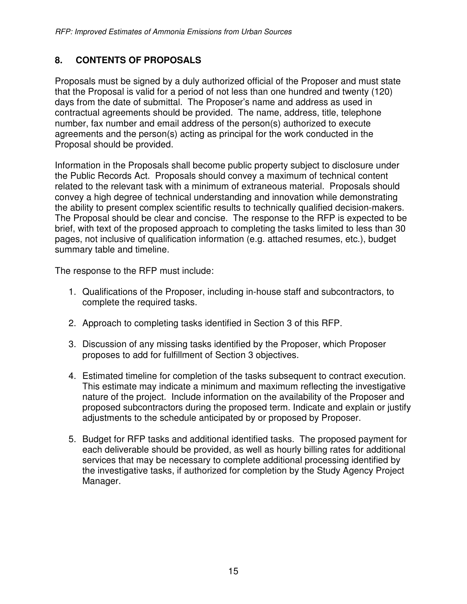## **8. CONTENTS OF PROPOSALS**

Proposals must be signed by a duly authorized official of the Proposer and must state that the Proposal is valid for a period of not less than one hundred and twenty (120) days from the date of submittal. The Proposer's name and address as used in contractual agreements should be provided. The name, address, title, telephone number, fax number and email address of the person(s) authorized to execute agreements and the person(s) acting as principal for the work conducted in the Proposal should be provided.

Information in the Proposals shall become public property subject to disclosure under the Public Records Act. Proposals should convey a maximum of technical content related to the relevant task with a minimum of extraneous material. Proposals should convey a high degree of technical understanding and innovation while demonstrating the ability to present complex scientific results to technically qualified decision-makers. The Proposal should be clear and concise. The response to the RFP is expected to be brief, with text of the proposed approach to completing the tasks limited to less than 30 pages, not inclusive of qualification information (e.g. attached resumes, etc.), budget summary table and timeline.

The response to the RFP must include:

- 1. Qualifications of the Proposer, including in-house staff and subcontractors, to complete the required tasks.
- 2. Approach to completing tasks identified in Section 3 of this RFP.
- 3. Discussion of any missing tasks identified by the Proposer, which Proposer proposes to add for fulfillment of Section 3 objectives.
- 4. Estimated timeline for completion of the tasks subsequent to contract execution. This estimate may indicate a minimum and maximum reflecting the investigative nature of the project. Include information on the availability of the Proposer and proposed subcontractors during the proposed term. Indicate and explain or justify adjustments to the schedule anticipated by or proposed by Proposer.
- 5. Budget for RFP tasks and additional identified tasks. The proposed payment for each deliverable should be provided, as well as hourly billing rates for additional services that may be necessary to complete additional processing identified by the investigative tasks, if authorized for completion by the Study Agency Project Manager.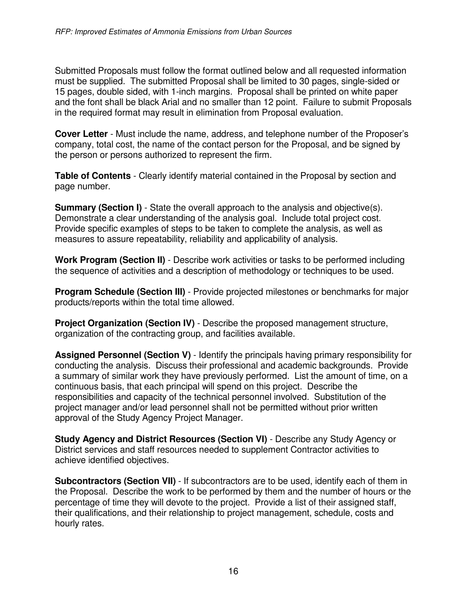Submitted Proposals must follow the format outlined below and all requested information must be supplied. The submitted Proposal shall be limited to 30 pages, single-sided or 15 pages, double sided, with 1-inch margins. Proposal shall be printed on white paper and the font shall be black Arial and no smaller than 12 point. Failure to submit Proposals in the required format may result in elimination from Proposal evaluation.

**Cover Letter** - Must include the name, address, and telephone number of the Proposer's company, total cost, the name of the contact person for the Proposal, and be signed by the person or persons authorized to represent the firm.

**Table of Contents** - Clearly identify material contained in the Proposal by section and page number.

**Summary (Section I)** - State the overall approach to the analysis and objective(s). Demonstrate a clear understanding of the analysis goal. Include total project cost. Provide specific examples of steps to be taken to complete the analysis, as well as measures to assure repeatability, reliability and applicability of analysis.

**Work Program (Section II)** - Describe work activities or tasks to be performed including the sequence of activities and a description of methodology or techniques to be used.

**Program Schedule (Section III)** - Provide projected milestones or benchmarks for major products/reports within the total time allowed.

**Project Organization (Section IV)** - Describe the proposed management structure, organization of the contracting group, and facilities available.

**Assigned Personnel (Section V)** - Identify the principals having primary responsibility for conducting the analysis. Discuss their professional and academic backgrounds. Provide a summary of similar work they have previously performed. List the amount of time, on a continuous basis, that each principal will spend on this project. Describe the responsibilities and capacity of the technical personnel involved. Substitution of the project manager and/or lead personnel shall not be permitted without prior written approval of the Study Agency Project Manager.

**Study Agency and District Resources (Section VI)** - Describe any Study Agency or District services and staff resources needed to supplement Contractor activities to achieve identified objectives.

**Subcontractors (Section VII)** - If subcontractors are to be used, identify each of them in the Proposal. Describe the work to be performed by them and the number of hours or the percentage of time they will devote to the project. Provide a list of their assigned staff, their qualifications, and their relationship to project management, schedule, costs and hourly rates.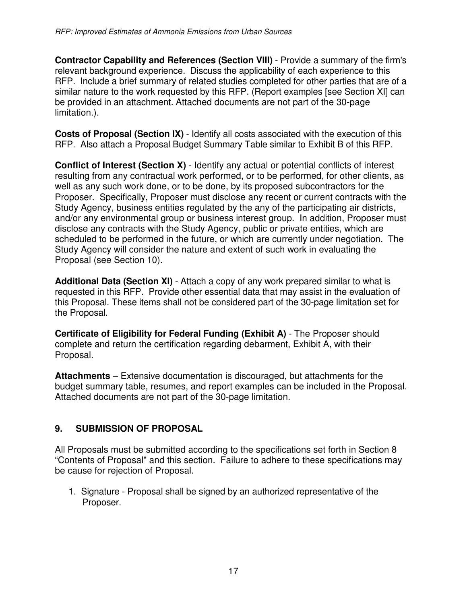**Contractor Capability and References (Section VIII)** - Provide a summary of the firm's relevant background experience. Discuss the applicability of each experience to this RFP. Include a brief summary of related studies completed for other parties that are of a similar nature to the work requested by this RFP. (Report examples [see Section XI] can be provided in an attachment. Attached documents are not part of the 30-page limitation.).

**Costs of Proposal (Section IX)** - Identify all costs associated with the execution of this RFP. Also attach a Proposal Budget Summary Table similar to Exhibit B of this RFP.

**Conflict of Interest (Section X)** - Identify any actual or potential conflicts of interest resulting from any contractual work performed, or to be performed, for other clients, as well as any such work done, or to be done, by its proposed subcontractors for the Proposer. Specifically, Proposer must disclose any recent or current contracts with the Study Agency, business entities regulated by the any of the participating air districts, and/or any environmental group or business interest group. In addition, Proposer must disclose any contracts with the Study Agency, public or private entities, which are scheduled to be performed in the future, or which are currently under negotiation. The Study Agency will consider the nature and extent of such work in evaluating the Proposal (see Section 10).

**Additional Data (Section XI)** - Attach a copy of any work prepared similar to what is requested in this RFP. Provide other essential data that may assist in the evaluation of this Proposal. These items shall not be considered part of the 30-page limitation set for the Proposal.

**Certificate of Eligibility for Federal Funding (Exhibit A)** - The Proposer should complete and return the certification regarding debarment, Exhibit A, with their Proposal.

**Attachments** – Extensive documentation is discouraged, but attachments for the budget summary table, resumes, and report examples can be included in the Proposal. Attached documents are not part of the 30-page limitation.

#### **9. SUBMISSION OF PROPOSAL**

All Proposals must be submitted according to the specifications set forth in Section 8 "Contents of Proposal" and this section. Failure to adhere to these specifications may be cause for rejection of Proposal.

1. Signature - Proposal shall be signed by an authorized representative of the Proposer.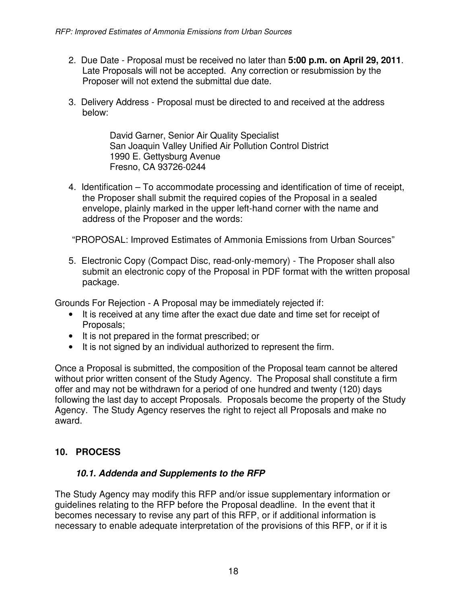- 2. Due Date Proposal must be received no later than **5:00 p.m. on April 29, 2011**. Late Proposals will not be accepted. Any correction or resubmission by the Proposer will not extend the submittal due date.
- 3. Delivery Address Proposal must be directed to and received at the address below:

David Garner, Senior Air Quality Specialist San Joaquin Valley Unified Air Pollution Control District 1990 E. Gettysburg Avenue Fresno, CA 93726-0244

4. Identification – To accommodate processing and identification of time of receipt, the Proposer shall submit the required copies of the Proposal in a sealed envelope, plainly marked in the upper left-hand corner with the name and address of the Proposer and the words:

"PROPOSAL: Improved Estimates of Ammonia Emissions from Urban Sources"

5. Electronic Copy (Compact Disc, read-only-memory) - The Proposer shall also submit an electronic copy of the Proposal in PDF format with the written proposal package.

Grounds For Rejection - A Proposal may be immediately rejected if:

- It is received at any time after the exact due date and time set for receipt of Proposals;
- It is not prepared in the format prescribed; or
- It is not signed by an individual authorized to represent the firm.

Once a Proposal is submitted, the composition of the Proposal team cannot be altered without prior written consent of the Study Agency. The Proposal shall constitute a firm offer and may not be withdrawn for a period of one hundred and twenty (120) days following the last day to accept Proposals. Proposals become the property of the Study Agency. The Study Agency reserves the right to reject all Proposals and make no award.

#### **10. PROCESS**

#### **10.1. Addenda and Supplements to the RFP**

The Study Agency may modify this RFP and/or issue supplementary information or guidelines relating to the RFP before the Proposal deadline. In the event that it becomes necessary to revise any part of this RFP, or if additional information is necessary to enable adequate interpretation of the provisions of this RFP, or if it is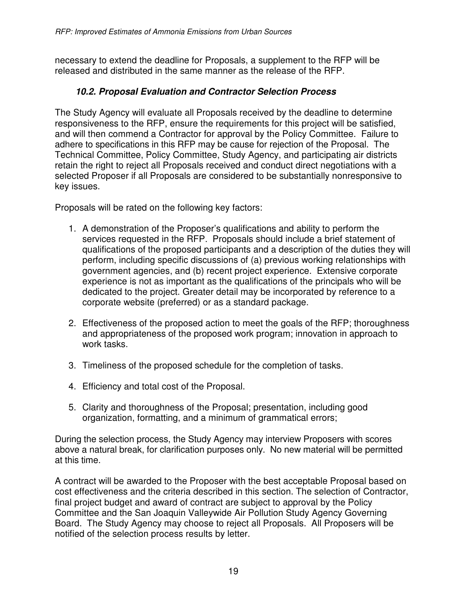necessary to extend the deadline for Proposals, a supplement to the RFP will be released and distributed in the same manner as the release of the RFP.

#### **10.2. Proposal Evaluation and Contractor Selection Process**

The Study Agency will evaluate all Proposals received by the deadline to determine responsiveness to the RFP, ensure the requirements for this project will be satisfied, and will then commend a Contractor for approval by the Policy Committee. Failure to adhere to specifications in this RFP may be cause for rejection of the Proposal. The Technical Committee, Policy Committee, Study Agency, and participating air districts retain the right to reject all Proposals received and conduct direct negotiations with a selected Proposer if all Proposals are considered to be substantially nonresponsive to key issues.

Proposals will be rated on the following key factors:

- 1. A demonstration of the Proposer's qualifications and ability to perform the services requested in the RFP. Proposals should include a brief statement of qualifications of the proposed participants and a description of the duties they will perform, including specific discussions of (a) previous working relationships with government agencies, and (b) recent project experience. Extensive corporate experience is not as important as the qualifications of the principals who will be dedicated to the project. Greater detail may be incorporated by reference to a corporate website (preferred) or as a standard package.
- 2. Effectiveness of the proposed action to meet the goals of the RFP; thoroughness and appropriateness of the proposed work program; innovation in approach to work tasks.
- 3. Timeliness of the proposed schedule for the completion of tasks.
- 4. Efficiency and total cost of the Proposal.
- 5. Clarity and thoroughness of the Proposal; presentation, including good organization, formatting, and a minimum of grammatical errors;

During the selection process, the Study Agency may interview Proposers with scores above a natural break, for clarification purposes only. No new material will be permitted at this time.

A contract will be awarded to the Proposer with the best acceptable Proposal based on cost effectiveness and the criteria described in this section. The selection of Contractor, final project budget and award of contract are subject to approval by the Policy Committee and the San Joaquin Valleywide Air Pollution Study Agency Governing Board. The Study Agency may choose to reject all Proposals. All Proposers will be notified of the selection process results by letter.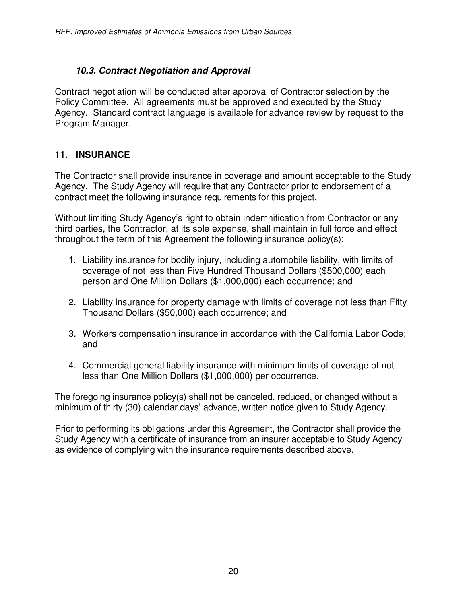## **10.3. Contract Negotiation and Approval**

Contract negotiation will be conducted after approval of Contractor selection by the Policy Committee. All agreements must be approved and executed by the Study Agency. Standard contract language is available for advance review by request to the Program Manager.

## **11. INSURANCE**

The Contractor shall provide insurance in coverage and amount acceptable to the Study Agency. The Study Agency will require that any Contractor prior to endorsement of a contract meet the following insurance requirements for this project.

Without limiting Study Agency's right to obtain indemnification from Contractor or any third parties, the Contractor, at its sole expense, shall maintain in full force and effect throughout the term of this Agreement the following insurance policy(s):

- 1. Liability insurance for bodily injury, including automobile liability, with limits of coverage of not less than Five Hundred Thousand Dollars (\$500,000) each person and One Million Dollars (\$1,000,000) each occurrence; and
- 2. Liability insurance for property damage with limits of coverage not less than Fifty Thousand Dollars (\$50,000) each occurrence; and
- 3. Workers compensation insurance in accordance with the California Labor Code; and
- 4. Commercial general liability insurance with minimum limits of coverage of not less than One Million Dollars (\$1,000,000) per occurrence.

The foregoing insurance policy(s) shall not be canceled, reduced, or changed without a minimum of thirty (30) calendar days' advance, written notice given to Study Agency.

Prior to performing its obligations under this Agreement, the Contractor shall provide the Study Agency with a certificate of insurance from an insurer acceptable to Study Agency as evidence of complying with the insurance requirements described above.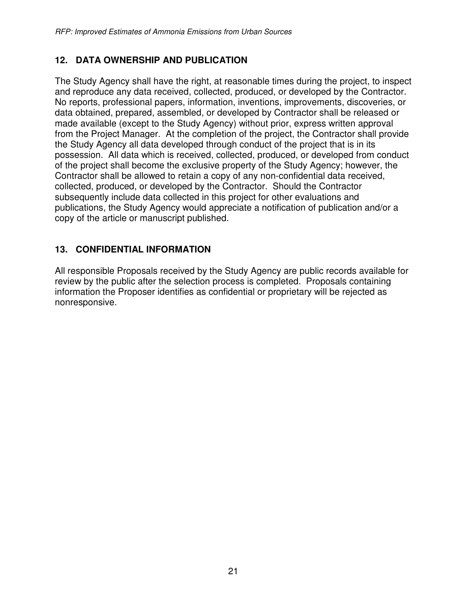### **12. DATA OWNERSHIP AND PUBLICATION**

The Study Agency shall have the right, at reasonable times during the project, to inspect and reproduce any data received, collected, produced, or developed by the Contractor. No reports, professional papers, information, inventions, improvements, discoveries, or data obtained, prepared, assembled, or developed by Contractor shall be released or made available (except to the Study Agency) without prior, express written approval from the Project Manager. At the completion of the project, the Contractor shall provide the Study Agency all data developed through conduct of the project that is in its possession. All data which is received, collected, produced, or developed from conduct of the project shall become the exclusive property of the Study Agency; however, the Contractor shall be allowed to retain a copy of any non-confidential data received, collected, produced, or developed by the Contractor. Should the Contractor subsequently include data collected in this project for other evaluations and publications, the Study Agency would appreciate a notification of publication and/or a copy of the article or manuscript published.

## **13. CONFIDENTIAL INFORMATION**

All responsible Proposals received by the Study Agency are public records available for review by the public after the selection process is completed. Proposals containing information the Proposer identifies as confidential or proprietary will be rejected as nonresponsive.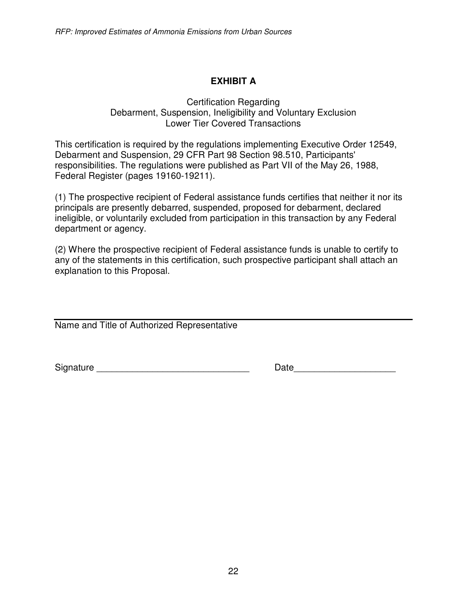## **EXHIBIT A**

#### Certification Regarding Debarment, Suspension, Ineligibility and Voluntary Exclusion Lower Tier Covered Transactions

This certification is required by the regulations implementing Executive Order 12549, Debarment and Suspension, 29 CFR Part 98 Section 98.510, Participants' responsibilities. The regulations were published as Part VII of the May 26, 1988, Federal Register (pages 19160-19211).

(1) The prospective recipient of Federal assistance funds certifies that neither it nor its principals are presently debarred, suspended, proposed for debarment, declared ineligible, or voluntarily excluded from participation in this transaction by any Federal department or agency.

(2) Where the prospective recipient of Federal assistance funds is unable to certify to any of the statements in this certification, such prospective participant shall attach an explanation to this Proposal.

Name and Title of Authorized Representative

Signature \_\_\_\_\_\_\_\_\_\_\_\_\_\_\_\_\_\_\_\_\_\_\_\_\_\_\_\_\_\_ Date\_\_\_\_\_\_\_\_\_\_\_\_\_\_\_\_\_\_\_\_